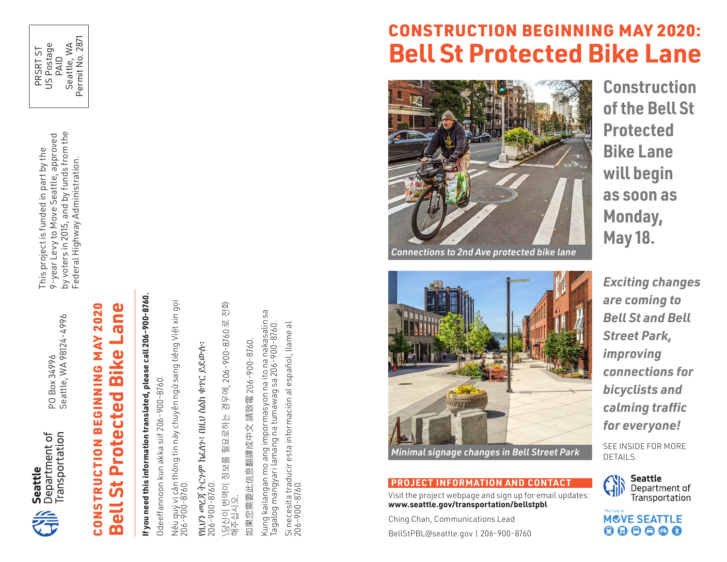

PO Box 34996<br>Seattle, WA 98124-4996 Seattle, WA 98124-4996 PO Box 34996

by voters in 2015, and by funds from the<br>Federal Highway Administration. by voters in 2015, and by funds from the 9-year Levy to Move Seattle, approved 9-year Levy to Move Seattle, approved This project is funded in part by the This project is funded in part by the Federal Highway Administration.

> **Bue-**CONSTRUCTION BEGINNING MAY 2020 CONSTRUCTION BEGINNING MAY 2020 **Bell St Protected Bike Lane Bike Protected** 5 E

m

# If you need this information translated, please call 206-900-8760. **If you need this information translated, please call 206-900-8760.**

Odeeffannoon kun akka siif 206-900-8760. Odeeffannoon kun akka siif 206-900-8760.

Nếu quý vị cần thông tin này chuyển ngữ sang tiếng Việt xin gọi

Nếu quý vị cần thông tin này chuyền ngữ sang tiếng Việt xin gọi<br>206-900-8760. የዚህን መረጃ ትርጉም ከፈለጉ፣ በዚህ ስልክ ቁጥር ይደውሉ፡ 206-900-8760.

የዚ*ህን መረጃ ትርጉም ከፌ*ለን፣ በዚ*ህ* ስልክ ቁጥር ይደውሉ፡<br>206-900-8760 206-900-8760.

\당신이 번역이 정보를 필요로하는 경우에, 206-900-8760 로 전화 전화 \당신이 번역이 정보를 필요로하는 경우에, 206-900-8760 로<br>해주십시오. 해주십시오.

如果您需要此信息翻譯成中文 請致電 206-900-8760. 如果您需要此信息翻譯成中文 請致電 206-900-8760.

Kung kailangan mo ang impormasyon na ito na nakasalin sa<br>Tagalog mangyari lamang na tumawag sa 206-900-8760. Kung kailangan mo ang impormasyon na ito na nakasalin sa Si necesita traducir esta información al español, llame al Tagalog mangyari lamang na tumawag sa 206-900-8760. Si necesita traducir esta información al español, llame al<br>206-900-8760. 206-900-8760.



### **PROJECT INFORMATION AND CONTACT**

Visit the project webpage and sign up for email updates: **www.seattle.gov/transportation/bellstpbl** 

Ching Chan, Communications Lead BellStPBL@seattle.gov | 206-900-8760 **Construction of the Bell St Protected Bike Lane will begin as soon as Monday, May 18.** 

*Exciting changes are coming to Bell St and Bell Street Park, improving connections for bicyclists and calming traffic for everyone!* 

SEE INSIDE FOR MORE



The Levy to **MOVE SEATTLE**  $\begin{array}{c} \bullet\bullet\bullet\bullet\bullet\bullet \end{array}$ 

# CONSTRUCTION BEGINNING MAY 2020: **Bell St Protected Bike Lane**



*Connections to 2nd Ave protected bike lane*